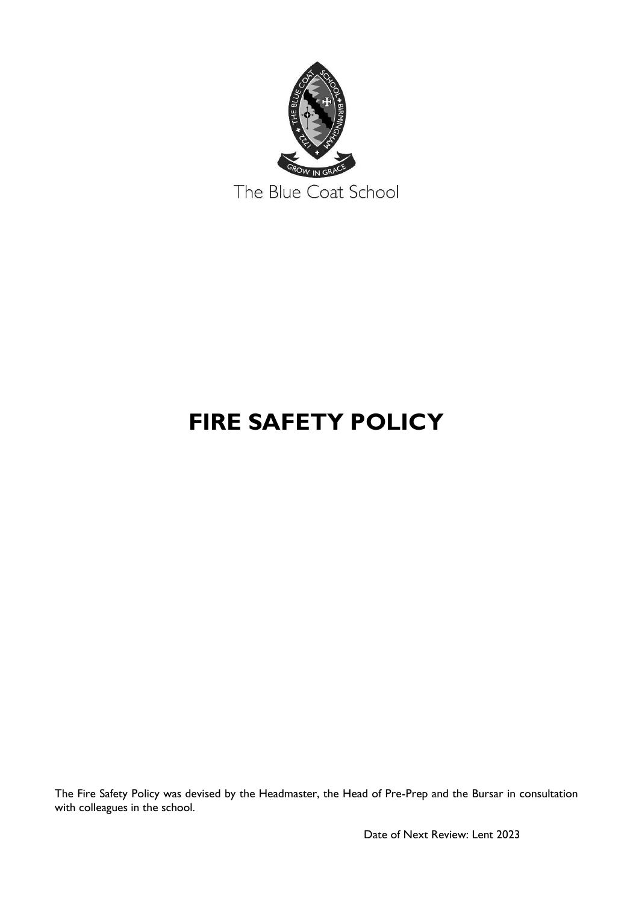

# **FIRE SAFETY POLICY**

The Fire Safety Policy was devised by the Headmaster, the Head of Pre-Prep and the Bursar in consultation with colleagues in the school.

Date of Next Review: Lent 2023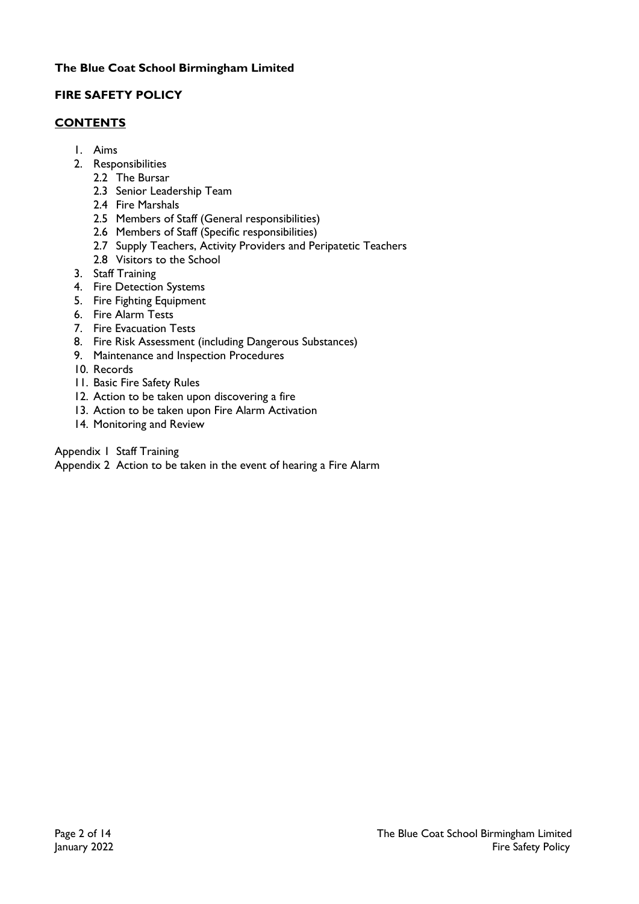# **FIRE SAFETY POLICY**

#### **CONTENTS**

- 1. Aims
- 2. Responsibilities
	- 2.2 The Bursar
	- 2.3 Senior Leadership Team
	- 2.4 Fire Marshals
	- 2.5 Members of Staff (General responsibilities)
	- 2.6 Members of Staff (Specific responsibilities)
	- 2.7 Supply Teachers, Activity Providers and Peripatetic Teachers
	- 2.8 Visitors to the School
- 3. Staff Training
- 4. Fire Detection Systems
- 5. Fire Fighting Equipment
- 6. Fire Alarm Tests
- 7. Fire Evacuation Tests
- 8. Fire Risk Assessment (including Dangerous Substances)
- 9. Maintenance and Inspection Procedures
- 10. Records
- 11. Basic Fire Safety Rules
- 12. Action to be taken upon discovering a fire
- 13. Action to be taken upon Fire Alarm Activation
- 14. Monitoring and Review

Appendix 1 Staff Training

Appendix 2 Action to be taken in the event of hearing a Fire Alarm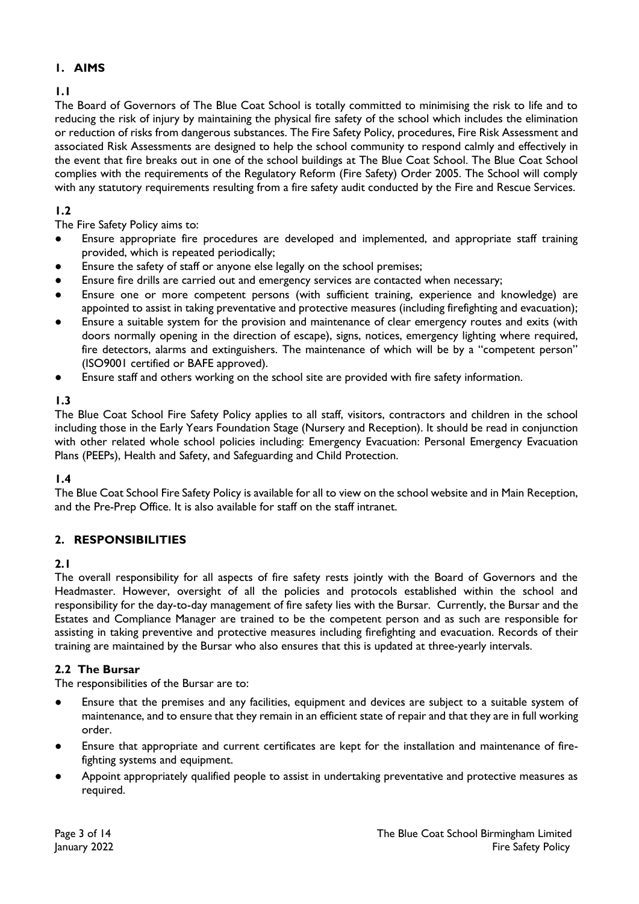# **1. AIMS**

# **1.1**

The Board of Governors of The Blue Coat School is totally committed to minimising the risk to life and to reducing the risk of injury by maintaining the physical fire safety of the school which includes the elimination or reduction of risks from dangerous substances. The Fire Safety Policy, procedures, Fire Risk Assessment and associated Risk Assessments are designed to help the school community to respond calmly and effectively in the event that fire breaks out in one of the school buildings at The Blue Coat School. The Blue Coat School complies with the requirements of the Regulatory Reform (Fire Safety) Order 2005. The School will comply with any statutory requirements resulting from a fire safety audit conducted by the Fire and Rescue Services.

# **1.2**

The Fire Safety Policy aims to:

- Ensure appropriate fire procedures are developed and implemented, and appropriate staff training provided, which is repeated periodically;
- Ensure the safety of staff or anyone else legally on the school premises;
- Ensure fire drills are carried out and emergency services are contacted when necessary;
- Ensure one or more competent persons (with sufficient training, experience and knowledge) are appointed to assist in taking preventative and protective measures (including firefighting and evacuation);
- Ensure a suitable system for the provision and maintenance of clear emergency routes and exits (with doors normally opening in the direction of escape), signs, notices, emergency lighting where required, fire detectors, alarms and extinguishers. The maintenance of which will be by a "competent person" (ISO9001 certified or BAFE approved).
- Ensure staff and others working on the school site are provided with fire safety information.

# **1.3**

The Blue Coat School Fire Safety Policy applies to all staff, visitors, contractors and children in the school including those in the Early Years Foundation Stage (Nursery and Reception). It should be read in conjunction with other related whole school policies including: Emergency Evacuation: Personal Emergency Evacuation Plans (PEEPs), Health and Safety, and Safeguarding and Child Protection.

# **1.4**

The Blue Coat School Fire Safety Policy is available for all to view on the school website and in Main Reception, and the Pre-Prep Office. It is also available for staff on the staff intranet.

# **2. RESPONSIBILITIES**

# **2.1**

The overall responsibility for all aspects of fire safety rests jointly with the Board of Governors and the Headmaster. However, oversight of all the policies and protocols established within the school and responsibility for the day-to-day management of fire safety lies with the Bursar. Currently, the Bursar and the Estates and Compliance Manager are trained to be the competent person and as such are responsible for assisting in taking preventive and protective measures including firefighting and evacuation. Records of their training are maintained by the Bursar who also ensures that this is updated at three-yearly intervals.

# **2.2 The Bursar**

The responsibilities of the Bursar are to:

- Ensure that the premises and any facilities, equipment and devices are subject to a suitable system of maintenance, and to ensure that they remain in an efficient state of repair and that they are in full working order.
- Ensure that appropriate and current certificates are kept for the installation and maintenance of firefighting systems and equipment.
- Appoint appropriately qualified people to assist in undertaking preventative and protective measures as required.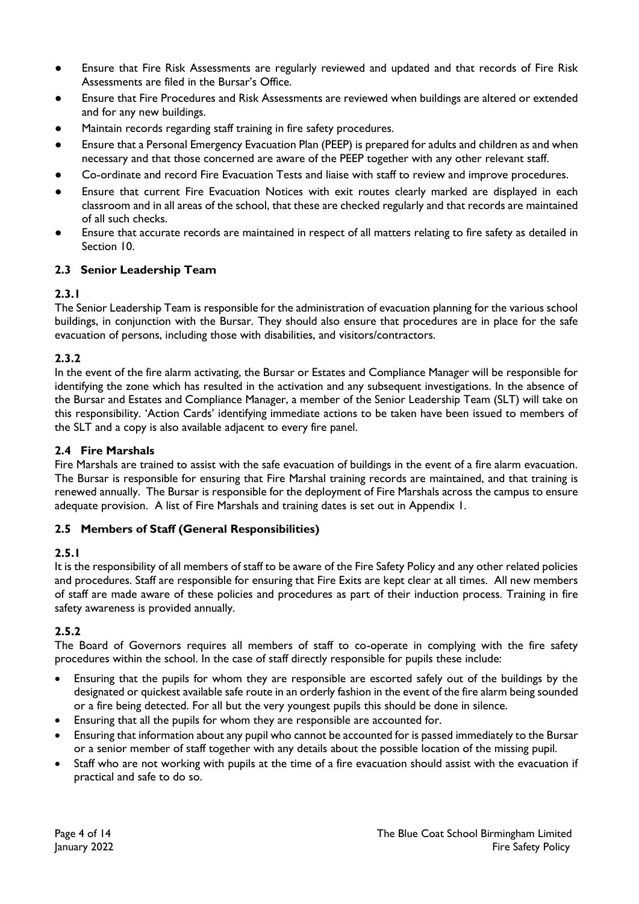- Ensure that Fire Risk Assessments are regularly reviewed and updated and that records of Fire Risk Assessments are filed in the Bursar's Office.
- Ensure that Fire Procedures and Risk Assessments are reviewed when buildings are altered or extended and for any new buildings.
- Maintain records regarding staff training in fire safety procedures.
- Ensure that a Personal Emergency Evacuation Plan (PEEP) is prepared for adults and children as and when necessary and that those concerned are aware of the PEEP together with any other relevant staff.
- Co-ordinate and record Fire Evacuation Tests and liaise with staff to review and improve procedures.
- Ensure that current Fire Evacuation Notices with exit routes clearly marked are displayed in each classroom and in all areas of the school, that these are checked regularly and that records are maintained of all such checks.
- Ensure that accurate records are maintained in respect of all matters relating to fire safety as detailed in Section 10.

# **2.3 Senior Leadership Team**

# **2.3.1**

The Senior Leadership Team is responsible for the administration of evacuation planning for the various school buildings, in conjunction with the Bursar. They should also ensure that procedures are in place for the safe evacuation of persons, including those with disabilities, and visitors/contractors.

# **2.3.2**

In the event of the fire alarm activating, the Bursar or Estates and Compliance Manager will be responsible for identifying the zone which has resulted in the activation and any subsequent investigations. In the absence of the Bursar and Estates and Compliance Manager, a member of the Senior Leadership Team (SLT) will take on this responsibility. 'Action Cards' identifying immediate actions to be taken have been issued to members of the SLT and a copy is also available adjacent to every fire panel.

#### **2.4 Fire Marshals**

Fire Marshals are trained to assist with the safe evacuation of buildings in the event of a fire alarm evacuation. The Bursar is responsible for ensuring that Fire Marshal training records are maintained, and that training is renewed annually. The Bursar is responsible for the deployment of Fire Marshals across the campus to ensure adequate provision. A list of Fire Marshals and training dates is set out in Appendix 1.

# **2.5 Members of Staff (General Responsibilities)**

# **2.5.1**

It is the responsibility of all members of staff to be aware of the Fire Safety Policy and any other related policies and procedures. Staff are responsible for ensuring that Fire Exits are kept clear at all times. All new members of staff are made aware of these policies and procedures as part of their induction process. Training in fire safety awareness is provided annually.

# **2.5.2**

The Board of Governors requires all members of staff to co-operate in complying with the fire safety procedures within the school. In the case of staff directly responsible for pupils these include:

- Ensuring that the pupils for whom they are responsible are escorted safely out of the buildings by the designated or quickest available safe route in an orderly fashion in the event of the fire alarm being sounded or a fire being detected. For all but the very youngest pupils this should be done in silence.
- Ensuring that all the pupils for whom they are responsible are accounted for.
- Ensuring that information about any pupil who cannot be accounted for is passed immediately to the Bursar or a senior member of staff together with any details about the possible location of the missing pupil.
- Staff who are not working with pupils at the time of a fire evacuation should assist with the evacuation if practical and safe to do so.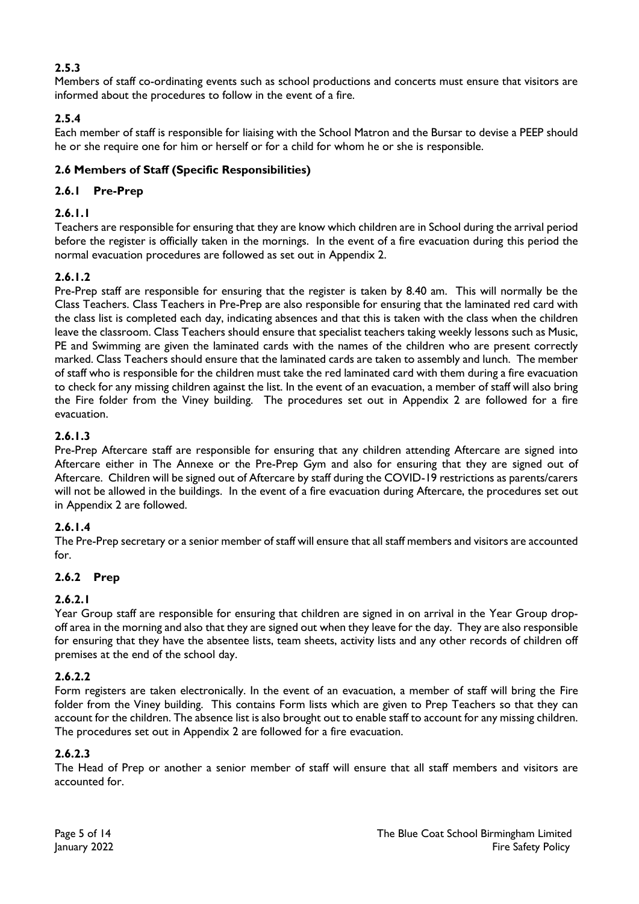# **2.5.3**

Members of staff co-ordinating events such as school productions and concerts must ensure that visitors are informed about the procedures to follow in the event of a fire.

# **2.5.4**

Each member of staff is responsible for liaising with the School Matron and the Bursar to devise a PEEP should he or she require one for him or herself or for a child for whom he or she is responsible.

# **2.6 Members of Staff (Specific Responsibilities)**

# **2.6.1 Pre-Prep**

# **2.6.1.1**

Teachers are responsible for ensuring that they are know which children are in School during the arrival period before the register is officially taken in the mornings. In the event of a fire evacuation during this period the normal evacuation procedures are followed as set out in Appendix 2.

# **2.6.1.2**

Pre-Prep staff are responsible for ensuring that the register is taken by 8.40 am. This will normally be the Class Teachers. Class Teachers in Pre-Prep are also responsible for ensuring that the laminated red card with the class list is completed each day, indicating absences and that this is taken with the class when the children leave the classroom. Class Teachers should ensure that specialist teachers taking weekly lessons such as Music, PE and Swimming are given the laminated cards with the names of the children who are present correctly marked. Class Teachers should ensure that the laminated cards are taken to assembly and lunch. The member of staff who is responsible for the children must take the red laminated card with them during a fire evacuation to check for any missing children against the list. In the event of an evacuation, a member of staff will also bring the Fire folder from the Viney building. The procedures set out in Appendix 2 are followed for a fire evacuation.

# **2.6.1.3**

Pre-Prep Aftercare staff are responsible for ensuring that any children attending Aftercare are signed into Aftercare either in The Annexe or the Pre-Prep Gym and also for ensuring that they are signed out of Aftercare. Children will be signed out of Aftercare by staff during the COVID-19 restrictions as parents/carers will not be allowed in the buildings. In the event of a fire evacuation during Aftercare, the procedures set out in Appendix 2 are followed.

# **2.6.1.4**

The Pre-Prep secretary or a senior member of staff will ensure that all staff members and visitors are accounted for.

# **2.6.2 Prep**

# **2.6.2.1**

Year Group staff are responsible for ensuring that children are signed in on arrival in the Year Group dropoff area in the morning and also that they are signed out when they leave for the day. They are also responsible for ensuring that they have the absentee lists, team sheets, activity lists and any other records of children off premises at the end of the school day.

# **2.6.2.2**

Form registers are taken electronically. In the event of an evacuation, a member of staff will bring the Fire folder from the Viney building. This contains Form lists which are given to Prep Teachers so that they can account for the children. The absence list is also brought out to enable staff to account for any missing children. The procedures set out in Appendix 2 are followed for a fire evacuation.

# **2.6.2.3**

The Head of Prep or another a senior member of staff will ensure that all staff members and visitors are accounted for.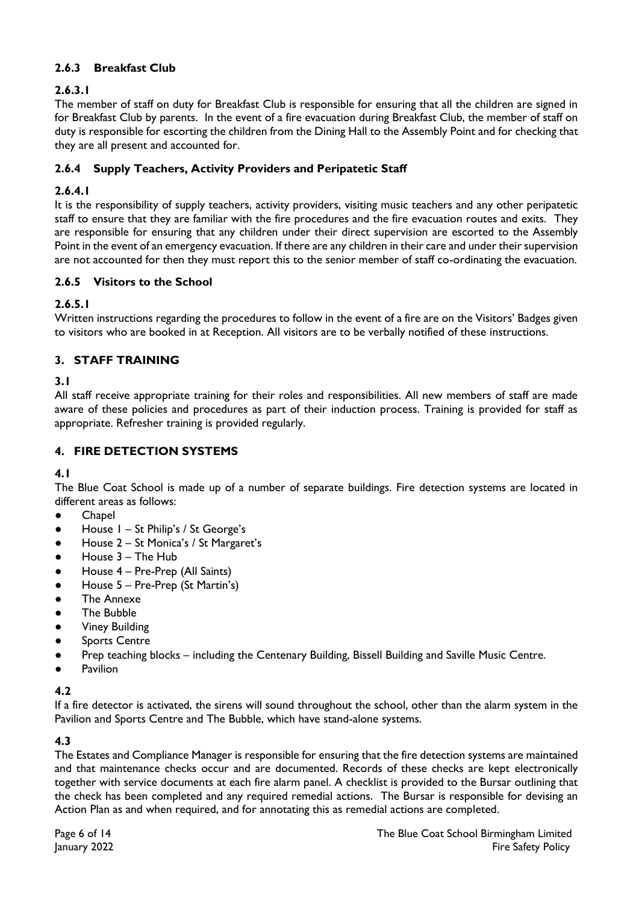# **2.6.3 Breakfast Club**

# **2.6.3.1**

The member of staff on duty for Breakfast Club is responsible for ensuring that all the children are signed in for Breakfast Club by parents. In the event of a fire evacuation during Breakfast Club, the member of staff on duty is responsible for escorting the children from the Dining Hall to the Assembly Point and for checking that they are all present and accounted for.

#### **2.6.4 Supply Teachers, Activity Providers and Peripatetic Staff**

#### **2.6.4.1**

It is the responsibility of supply teachers, activity providers, visiting music teachers and any other peripatetic staff to ensure that they are familiar with the fire procedures and the fire evacuation routes and exits. They are responsible for ensuring that any children under their direct supervision are escorted to the Assembly Point in the event of an emergency evacuation. If there are any children in their care and under their supervision are not accounted for then they must report this to the senior member of staff co-ordinating the evacuation.

#### **2.6.5 Visitors to the School**

#### **2.6.5.1**

Written instructions regarding the procedures to follow in the event of a fire are on the Visitors' Badges given to visitors who are booked in at Reception. All visitors are to be verbally notified of these instructions.

#### **3. STAFF TRAINING**

#### **3.1**

All staff receive appropriate training for their roles and responsibilities. All new members of staff are made aware of these policies and procedures as part of their induction process. Training is provided for staff as appropriate. Refresher training is provided regularly.

#### **4. FIRE DETECTION SYSTEMS**

#### **4.1**

The Blue Coat School is made up of a number of separate buildings. Fire detection systems are located in different areas as follows:

- Chapel
- House 1 St Philip's / St George's
- House 2 St Monica's / St Margaret's
- House  $3 -$  The Hub
- House 4 Pre-Prep (All Saints)
- House 5 Pre-Prep (St Martin's)
- The Annexe
- The Bubble
- **Viney Building**
- **Sports Centre**
- Prep teaching blocks including the Centenary Building, Bissell Building and Saville Music Centre.
- **Pavilion**

# **4.2**

If a fire detector is activated, the sirens will sound throughout the school, other than the alarm system in the Pavilion and Sports Centre and The Bubble, which have stand-alone systems.

# **4.3**

The Estates and Compliance Manager is responsible for ensuring that the fire detection systems are maintained and that maintenance checks occur and are documented. Records of these checks are kept electronically together with service documents at each fire alarm panel. A checklist is provided to the Bursar outlining that the check has been completed and any required remedial actions. The Bursar is responsible for devising an Action Plan as and when required, and for annotating this as remedial actions are completed.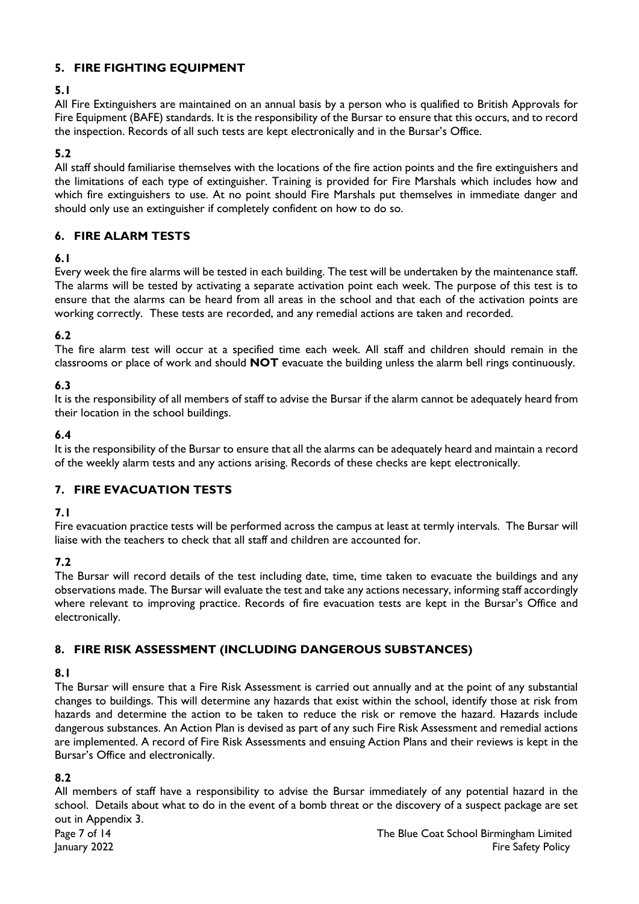# **5. FIRE FIGHTING EQUIPMENT**

# **5.1**

All Fire Extinguishers are maintained on an annual basis by a person who is qualified to British Approvals for Fire Equipment (BAFE) standards. It is the responsibility of the Bursar to ensure that this occurs, and to record the inspection. Records of all such tests are kept electronically and in the Bursar's Office.

# **5.2**

All staff should familiarise themselves with the locations of the fire action points and the fire extinguishers and the limitations of each type of extinguisher. Training is provided for Fire Marshals which includes how and which fire extinguishers to use. At no point should Fire Marshals put themselves in immediate danger and should only use an extinguisher if completely confident on how to do so.

# **6. FIRE ALARM TESTS**

# **6.1**

Every week the fire alarms will be tested in each building. The test will be undertaken by the maintenance staff. The alarms will be tested by activating a separate activation point each week. The purpose of this test is to ensure that the alarms can be heard from all areas in the school and that each of the activation points are working correctly. These tests are recorded, and any remedial actions are taken and recorded.

# **6.2**

The fire alarm test will occur at a specified time each week. All staff and children should remain in the classrooms or place of work and should **NOT** evacuate the building unless the alarm bell rings continuously.

# **6.3**

It is the responsibility of all members of staff to advise the Bursar if the alarm cannot be adequately heard from their location in the school buildings.

# **6.4**

It is the responsibility of the Bursar to ensure that all the alarms can be adequately heard and maintain a record of the weekly alarm tests and any actions arising. Records of these checks are kept electronically.

# **7. FIRE EVACUATION TESTS**

# **7.1**

Fire evacuation practice tests will be performed across the campus at least at termly intervals. The Bursar will liaise with the teachers to check that all staff and children are accounted for.

# **7.2**

The Bursar will record details of the test including date, time, time taken to evacuate the buildings and any observations made. The Bursar will evaluate the test and take any actions necessary, informing staff accordingly where relevant to improving practice. Records of fire evacuation tests are kept in the Bursar's Office and electronically.

# **8. FIRE RISK ASSESSMENT (INCLUDING DANGEROUS SUBSTANCES)**

# **8.1**

The Bursar will ensure that a Fire Risk Assessment is carried out annually and at the point of any substantial changes to buildings. This will determine any hazards that exist within the school, identify those at risk from hazards and determine the action to be taken to reduce the risk or remove the hazard. Hazards include dangerous substances. An Action Plan is devised as part of any such Fire Risk Assessment and remedial actions are implemented. A record of Fire Risk Assessments and ensuing Action Plans and their reviews is kept in the Bursar's Office and electronically.

# **8.2**

All members of staff have a responsibility to advise the Bursar immediately of any potential hazard in the school. Details about what to do in the event of a bomb threat or the discovery of a suspect package are set out in Appendix 3.

Page 7 of 14 The Blue Coat School Birmingham Limited anuary 2022 and the Safety Policy of the Safety Policy of the Safety Policy of the Safety Policy of the Safety Policy of the Safety Policy of the Safety Policy of the Safety Policy of the Safety Policy of the Safety Policy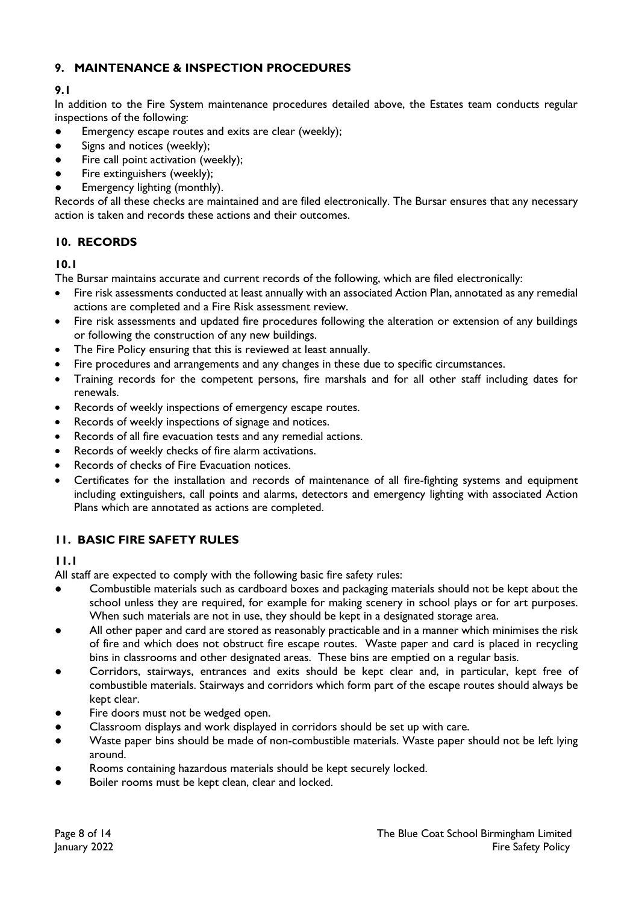# **9. MAINTENANCE & INSPECTION PROCEDURES**

# **9.1**

In addition to the Fire System maintenance procedures detailed above, the Estates team conducts regular inspections of the following:

- Emergency escape routes and exits are clear (weekly);
- Signs and notices (weekly);
- Fire call point activation (weekly);
- Fire extinguishers (weekly);
- Emergency lighting (monthly).

Records of all these checks are maintained and are filed electronically. The Bursar ensures that any necessary action is taken and records these actions and their outcomes.

# **10. RECORDS**

#### **10.1**

The Bursar maintains accurate and current records of the following, which are filed electronically:

- Fire risk assessments conducted at least annually with an associated Action Plan, annotated as any remedial actions are completed and a Fire Risk assessment review.
- Fire risk assessments and updated fire procedures following the alteration or extension of any buildings or following the construction of any new buildings.
- The Fire Policy ensuring that this is reviewed at least annually.
- Fire procedures and arrangements and any changes in these due to specific circumstances.
- Training records for the competent persons, fire marshals and for all other staff including dates for renewals.
- Records of weekly inspections of emergency escape routes.
- Records of weekly inspections of signage and notices.
- Records of all fire evacuation tests and any remedial actions.
- Records of weekly checks of fire alarm activations.
- Records of checks of Fire Evacuation notices.
- Certificates for the installation and records of maintenance of all fire-fighting systems and equipment including extinguishers, call points and alarms, detectors and emergency lighting with associated Action Plans which are annotated as actions are completed.

# **11. BASIC FIRE SAFETY RULES**

# **11.1**

All staff are expected to comply with the following basic fire safety rules:

- Combustible materials such as cardboard boxes and packaging materials should not be kept about the school unless they are required, for example for making scenery in school plays or for art purposes. When such materials are not in use, they should be kept in a designated storage area.
- All other paper and card are stored as reasonably practicable and in a manner which minimises the risk of fire and which does not obstruct fire escape routes. Waste paper and card is placed in recycling bins in classrooms and other designated areas. These bins are emptied on a regular basis.
- Corridors, stairways, entrances and exits should be kept clear and, in particular, kept free of combustible materials. Stairways and corridors which form part of the escape routes should always be kept clear.
- Fire doors must not be wedged open.
- Classroom displays and work displayed in corridors should be set up with care.
- Waste paper bins should be made of non-combustible materials. Waste paper should not be left lying around.
- Rooms containing hazardous materials should be kept securely locked.
- Boiler rooms must be kept clean, clear and locked.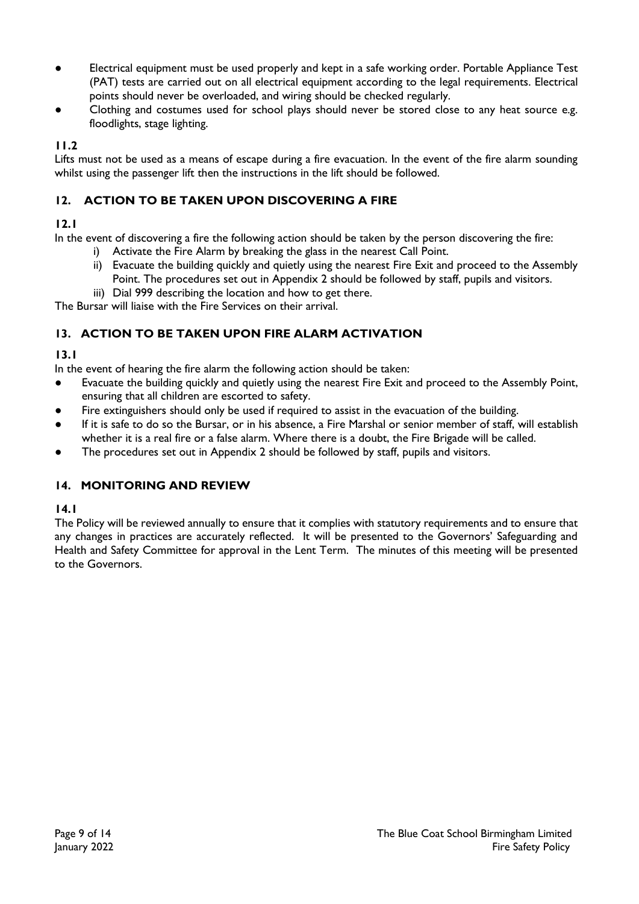- Electrical equipment must be used properly and kept in a safe working order. Portable Appliance Test (PAT) tests are carried out on all electrical equipment according to the legal requirements. Electrical points should never be overloaded, and wiring should be checked regularly.
- Clothing and costumes used for school plays should never be stored close to any heat source e.g. floodlights, stage lighting.

# **11.2**

Lifts must not be used as a means of escape during a fire evacuation. In the event of the fire alarm sounding whilst using the passenger lift then the instructions in the lift should be followed.

# **12. ACTION TO BE TAKEN UPON DISCOVERING A FIRE**

# **12.1**

In the event of discovering a fire the following action should be taken by the person discovering the fire:

- i) Activate the Fire Alarm by breaking the glass in the nearest Call Point.
- ii) Evacuate the building quickly and quietly using the nearest Fire Exit and proceed to the Assembly Point. The procedures set out in Appendix 2 should be followed by staff, pupils and visitors.
- iii) Dial 999 describing the location and how to get there.

The Bursar will liaise with the Fire Services on their arrival.

# **13. ACTION TO BE TAKEN UPON FIRE ALARM ACTIVATION**

# **13.1**

In the event of hearing the fire alarm the following action should be taken:

- Evacuate the building quickly and quietly using the nearest Fire Exit and proceed to the Assembly Point, ensuring that all children are escorted to safety.
- Fire extinguishers should only be used if required to assist in the evacuation of the building.
- If it is safe to do so the Bursar, or in his absence, a Fire Marshal or senior member of staff, will establish whether it is a real fire or a false alarm. Where there is a doubt, the Fire Brigade will be called.
- The procedures set out in Appendix 2 should be followed by staff, pupils and visitors.

# **14. MONITORING AND REVIEW**

# **14.1**

The Policy will be reviewed annually to ensure that it complies with statutory requirements and to ensure that any changes in practices are accurately reflected. It will be presented to the Governors' Safeguarding and Health and Safety Committee for approval in the Lent Term. The minutes of this meeting will be presented to the Governors.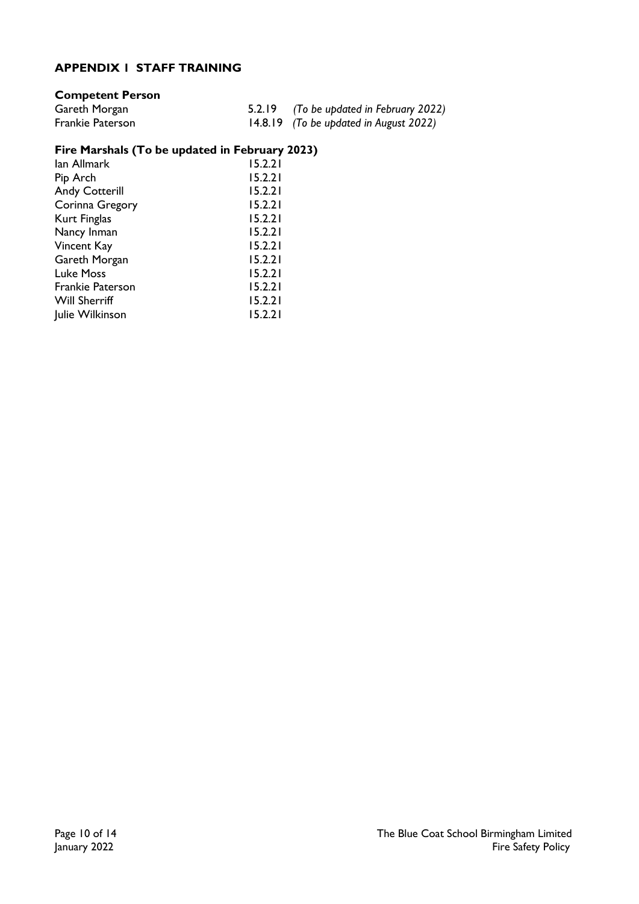# **APPENDIX 1 STAFF TRAINING**

# **Competent Person**

| Gareth Morgan    | 5.2.19 (To be updated in February 2022) |
|------------------|-----------------------------------------|
| Frankie Paterson | 14.8.19 (To be updated in August 2022)  |

# **Fire Marshals (To be updated in February 2023)**

| lan Allmark             | 15.2.21 |
|-------------------------|---------|
| Pip Arch                | 15.2.21 |
| <b>Andy Cotterill</b>   | 15.2.21 |
| Corinna Gregory         | 15.2.21 |
| Kurt Finglas            | 15.2.21 |
| Nancy Inman             | 15.2.21 |
| Vincent Kay             | 15.2.21 |
| Gareth Morgan           | 15.2.21 |
| <b>Luke Moss</b>        | 15.2.21 |
| <b>Frankie Paterson</b> | 15.2.21 |
| <b>Will Sherriff</b>    | 15.2.21 |
| Julie Wilkinson         | 15.2.21 |
|                         |         |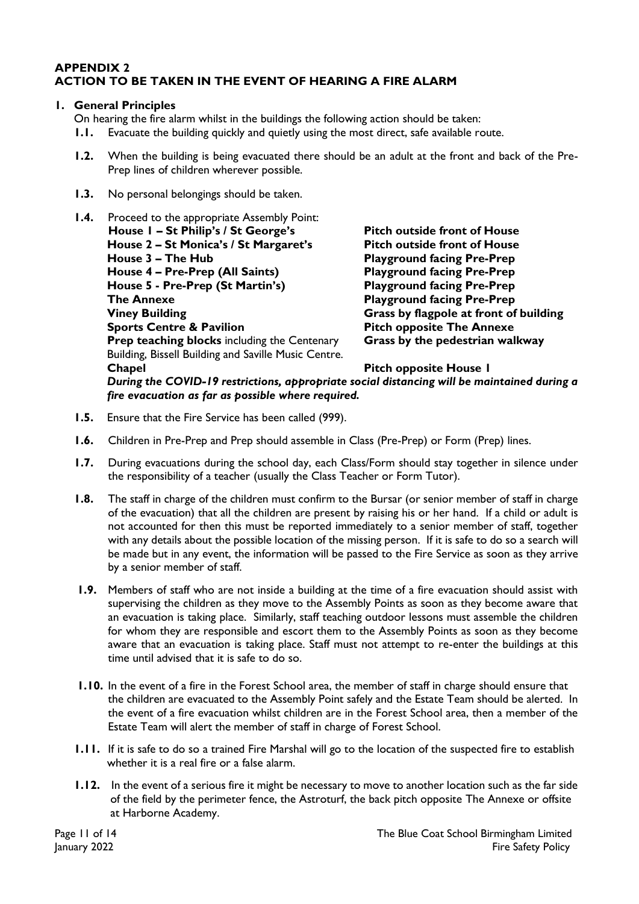#### **APPENDIX 2 ACTION TO BE TAKEN IN THE EVENT OF HEARING A FIRE ALARM**

#### **1. General Principles**

On hearing the fire alarm whilst in the buildings the following action should be taken:

- **1.1.** Evacuate the building quickly and quietly using the most direct, safe available route.
- **1.2.** When the building is being evacuated there should be an adult at the front and back of the Pre-Prep lines of children wherever possible.
- **1.3.** No personal belongings should be taken.
- **1.4.** Proceed to the appropriate Assembly Point: **House 1 – St Philip's / St George's Pitch outside front of House House 2 – St Monica's / St Margaret's Pitch outside front of House House 3 – The Hub Playground facing Pre-Prep House 4 – Pre-Prep (All Saints) Playground facing Pre-Prep House 5 - Pre-Prep (St Martin's) Playground facing Pre-Prep The Annexe Playground facing Pre-Prep Viney Building Grass by flagpole at front of building Sports Centre & Pavilion Pitch opposite The Annexe Prep teaching blocks** including the Centenary **Grass by the pedestrian walkway** Building, Bissell Building and Saville Music Centre. **Chapel Chapel Pitch opposite House 1**  *During the COVID-19 restrictions, appropriate social distancing will be maintained during a fire evacuation as far as possible where required.*
- **1.5.** Ensure that the Fire Service has been called (999).
- **1.6.** Children in Pre-Prep and Prep should assemble in Class (Pre-Prep) or Form (Prep) lines.
- **1.7.** During evacuations during the school day, each Class/Form should stay together in silence under the responsibility of a teacher (usually the Class Teacher or Form Tutor).
- **1.8.** The staff in charge of the children must confirm to the Bursar (or senior member of staff in charge of the evacuation) that all the children are present by raising his or her hand. If a child or adult is not accounted for then this must be reported immediately to a senior member of staff, together with any details about the possible location of the missing person. If it is safe to do so a search will be made but in any event, the information will be passed to the Fire Service as soon as they arrive by a senior member of staff.
- **1.9.** Members of staff who are not inside a building at the time of a fire evacuation should assist with supervising the children as they move to the Assembly Points as soon as they become aware that an evacuation is taking place. Similarly, staff teaching outdoor lessons must assemble the children for whom they are responsible and escort them to the Assembly Points as soon as they become aware that an evacuation is taking place. Staff must not attempt to re-enter the buildings at this time until advised that it is safe to do so.
- **1.10.** In the event of a fire in the Forest School area, the member of staff in charge should ensure that the children are evacuated to the Assembly Point safely and the Estate Team should be alerted. In the event of a fire evacuation whilst children are in the Forest School area, then a member of the Estate Team will alert the member of staff in charge of Forest School.
- **1.11.** If it is safe to do so a trained Fire Marshal will go to the location of the suspected fire to establish whether it is a real fire or a false alarm.
- **1.12.** In the event of a serious fire it might be necessary to move to another location such as the far side of the field by the perimeter fence, the Astroturf, the back pitch opposite The Annexe or offsite at Harborne Academy.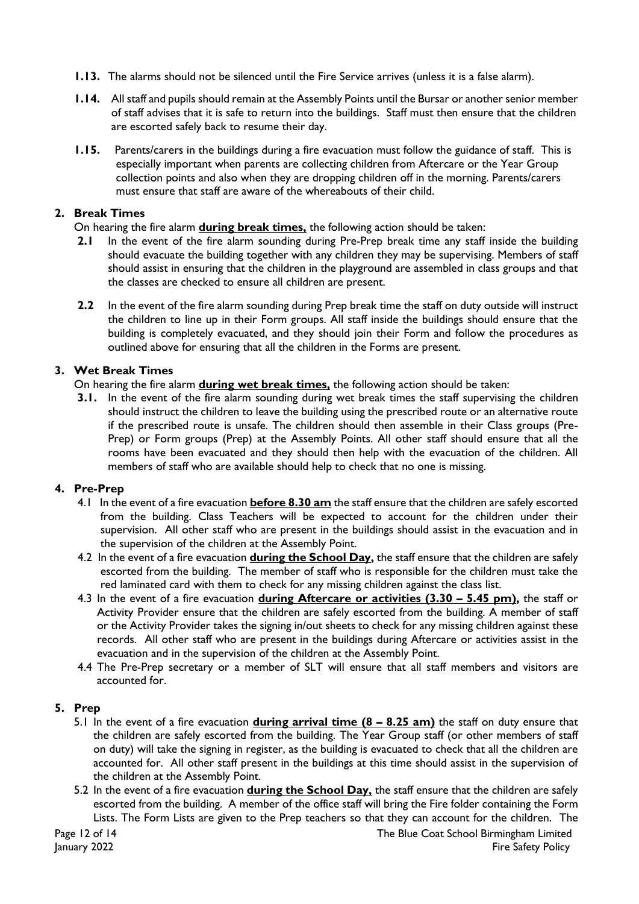- **1.13.** The alarms should not be silenced until the Fire Service arrives (unless it is a false alarm).
- **1.14.** All staff and pupils should remain at the Assembly Points until the Bursar or another senior member of staff advises that it is safe to return into the buildings. Staff must then ensure that the children are escorted safely back to resume their day.
- **1.15.** Parents/carers in the buildings during a fire evacuation must follow the guidance of staff. This is especially important when parents are collecting children from Aftercare or the Year Group collection points and also when they are dropping children off in the morning. Parents/carers must ensure that staff are aware of the whereabouts of their child.

#### **2. Break Times**

On hearing the fire alarm **during break times,** the following action should be taken:

- **2.1** In the event of the fire alarm sounding during Pre-Prep break time any staff inside the building should evacuate the building together with any children they may be supervising. Members of staff should assist in ensuring that the children in the playground are assembled in class groups and that the classes are checked to ensure all children are present.
- **2.2** In the event of the fire alarm sounding during Prep break time the staff on duty outside will instruct the children to line up in their Form groups. All staff inside the buildings should ensure that the building is completely evacuated, and they should join their Form and follow the procedures as outlined above for ensuring that all the children in the Forms are present.

#### **3. Wet Break Times**

On hearing the fire alarm **during wet break times,** the following action should be taken:

**3.1.** In the event of the fire alarm sounding during wet break times the staff supervising the children should instruct the children to leave the building using the prescribed route or an alternative route if the prescribed route is unsafe. The children should then assemble in their Class groups (Pre-Prep) or Form groups (Prep) at the Assembly Points. All other staff should ensure that all the rooms have been evacuated and they should then help with the evacuation of the children. All members of staff who are available should help to check that no one is missing.

#### **4. Pre-Prep**

- 4.1 In the event of a fire evacuation **before 8.30 am** the staff ensure that the children are safely escorted from the building. Class Teachers will be expected to account for the children under their supervision. All other staff who are present in the buildings should assist in the evacuation and in the supervision of the children at the Assembly Point.
- 4.2 In the event of a fire evacuation **during the School Day,** the staff ensure that the children are safely escorted from the building. The member of staff who is responsible for the children must take the red laminated card with them to check for any missing children against the class list.
- 4.3 In the event of a fire evacuation **during Aftercare or activities (3.30 – 5.45 pm),** the staff or Activity Provider ensure that the children are safely escorted from the building. A member of staff or the Activity Provider takes the signing in/out sheets to check for any missing children against these records. All other staff who are present in the buildings during Aftercare or activities assist in the evacuation and in the supervision of the children at the Assembly Point.
- 4.4 The Pre-Prep secretary or a member of SLT will ensure that all staff members and visitors are accounted for.

#### **5. Prep**

- 5.1 In the event of a fire evacuation **during arrival time (8 – 8.25 am)** the staff on duty ensure that the children are safely escorted from the building. The Year Group staff (or other members of staff on duty) will take the signing in register, as the building is evacuated to check that all the children are accounted for. All other staff present in the buildings at this time should assist in the supervision of the children at the Assembly Point.
- 5.2 In the event of a fire evacuation **during the School Day,** the staff ensure that the children are safely escorted from the building. A member of the office staff will bring the Fire folder containing the Form Lists. The Form Lists are given to the Prep teachers so that they can account for the children. The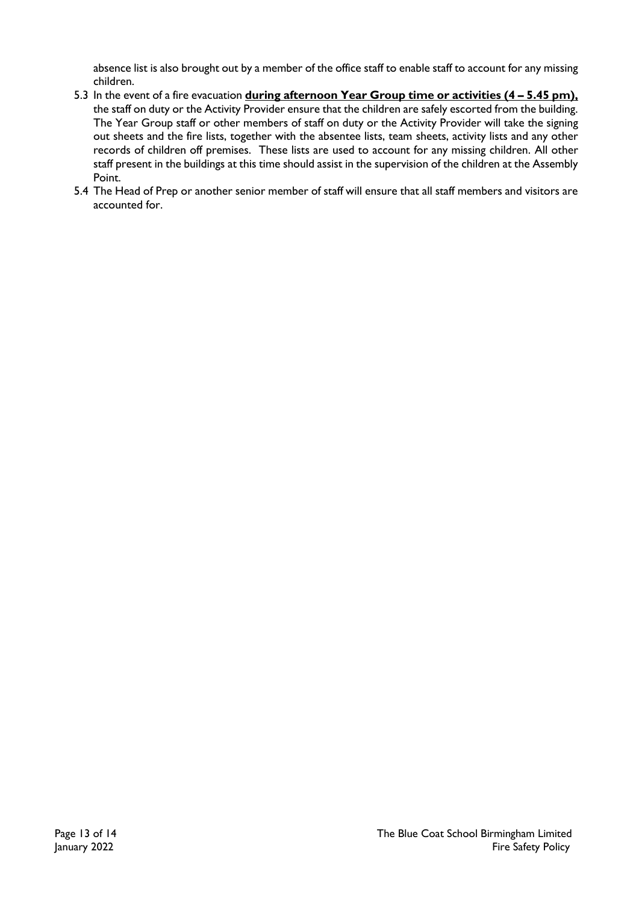absence list is also brought out by a member of the office staff to enable staff to account for any missing children.

- 5.3 In the event of a fire evacuation **during afternoon Year Group time or activities (4 – 5.45 pm),** the staff on duty or the Activity Provider ensure that the children are safely escorted from the building. The Year Group staff or other members of staff on duty or the Activity Provider will take the signing out sheets and the fire lists, together with the absentee lists, team sheets, activity lists and any other records of children off premises. These lists are used to account for any missing children. All other staff present in the buildings at this time should assist in the supervision of the children at the Assembly Point.
- 5.4 The Head of Prep or another senior member of staff will ensure that all staff members and visitors are accounted for.